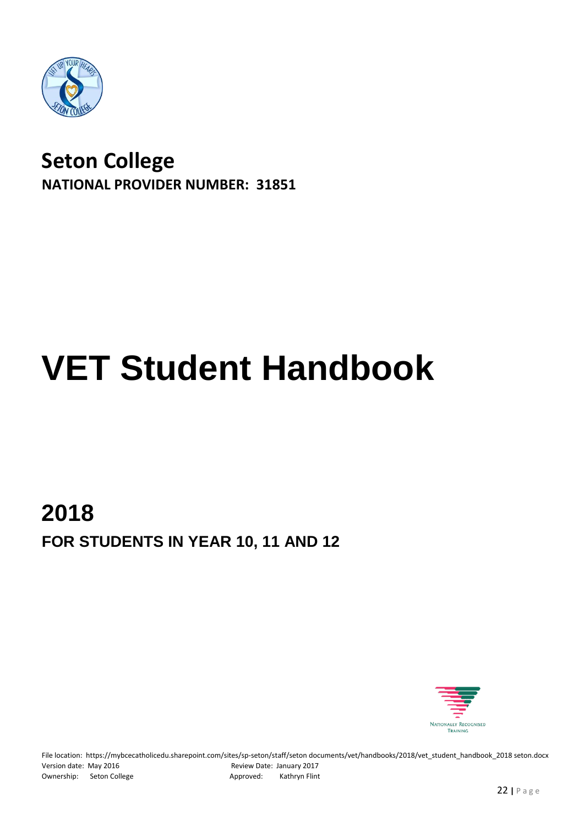

# **Seton College NATIONAL PROVIDER NUMBER: 31851**

# **VET Student Handbook**

# **2018 FOR STUDENTS IN YEAR 10, 11 AND 12**



File location: https://mybcecatholicedu.sharepoint.com/sites/sp-seton/staff/seton documents/vet/handbooks/2018/vet\_student\_handbook\_2018 seton.docx Version date: May 2016 **Review Date: January 2017** Ownership: Seton College Approved: Kathryn Flint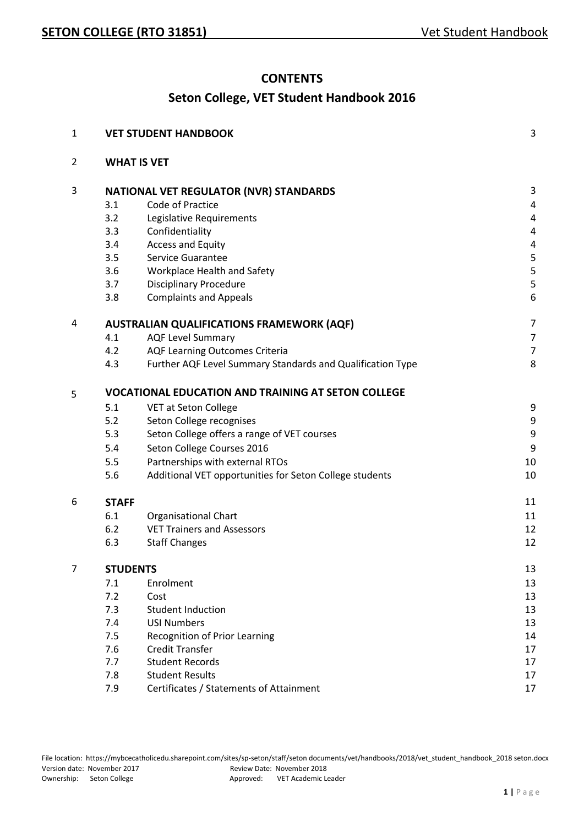#### **CONTENTS**

## **Seton College, VET Student Handbook 2016**

| 1              |                                               | <b>VET STUDENT HANDBOOK</b>                                | 3              |
|----------------|-----------------------------------------------|------------------------------------------------------------|----------------|
| $\overline{2}$ | <b>WHAT IS VET</b>                            |                                                            |                |
| 3              | <b>NATIONAL VET REGULATOR (NVR) STANDARDS</b> |                                                            | 3              |
|                | 3.1                                           | Code of Practice                                           | 4              |
|                | 3.2                                           | Legislative Requirements                                   | 4              |
|                | 3.3                                           | Confidentiality                                            | 4              |
|                | 3.4                                           | <b>Access and Equity</b>                                   | 4              |
|                | 3.5                                           | Service Guarantee                                          | 5              |
|                | 3.6                                           | Workplace Health and Safety                                | 5              |
|                | 3.7                                           | <b>Disciplinary Procedure</b>                              | 5              |
|                | 3.8                                           | <b>Complaints and Appeals</b>                              | 6              |
| 4              |                                               | <b>AUSTRALIAN QUALIFICATIONS FRAMEWORK (AQF)</b>           | $\overline{7}$ |
|                | 4.1                                           | <b>AQF Level Summary</b>                                   | $\overline{7}$ |
|                | 4.2                                           | <b>AQF Learning Outcomes Criteria</b>                      | $\overline{7}$ |
|                | 4.3                                           | Further AQF Level Summary Standards and Qualification Type | 8              |
| 5              |                                               | <b>VOCATIONAL EDUCATION AND TRAINING AT SETON COLLEGE</b>  |                |
|                | 5.1                                           | VET at Seton College                                       | 9              |
|                | 5.2                                           | Seton College recognises                                   | 9              |
|                | 5.3                                           | Seton College offers a range of VET courses                | 9              |
|                | 5.4                                           | Seton College Courses 2016                                 | 9              |
|                | 5.5                                           | Partnerships with external RTOs                            | 10             |
|                | 5.6                                           | Additional VET opportunities for Seton College students    | 10             |
| 6              | <b>STAFF</b>                                  |                                                            | 11             |
|                | 6.1                                           | <b>Organisational Chart</b>                                | 11             |
|                | 6.2                                           | <b>VET Trainers and Assessors</b>                          | 12             |
|                | 6.3                                           | <b>Staff Changes</b>                                       | 12             |
| 7              |                                               | <b>STUDENTS</b>                                            | 13             |
|                | 7.1                                           | Enrolment                                                  | 13             |
|                | 7.2                                           | Cost                                                       | 13             |
|                | 7.3                                           | <b>Student Induction</b>                                   | 13             |
|                | 7.4                                           | <b>USI Numbers</b>                                         | 13             |
|                | 7.5                                           | <b>Recognition of Prior Learning</b>                       | 14             |
|                | 7.6                                           | <b>Credit Transfer</b>                                     | 17             |
|                | 7.7                                           | <b>Student Records</b>                                     | 17             |
|                | 7.8                                           | <b>Student Results</b>                                     | 17             |
|                | 7.9                                           | Certificates / Statements of Attainment                    | 17             |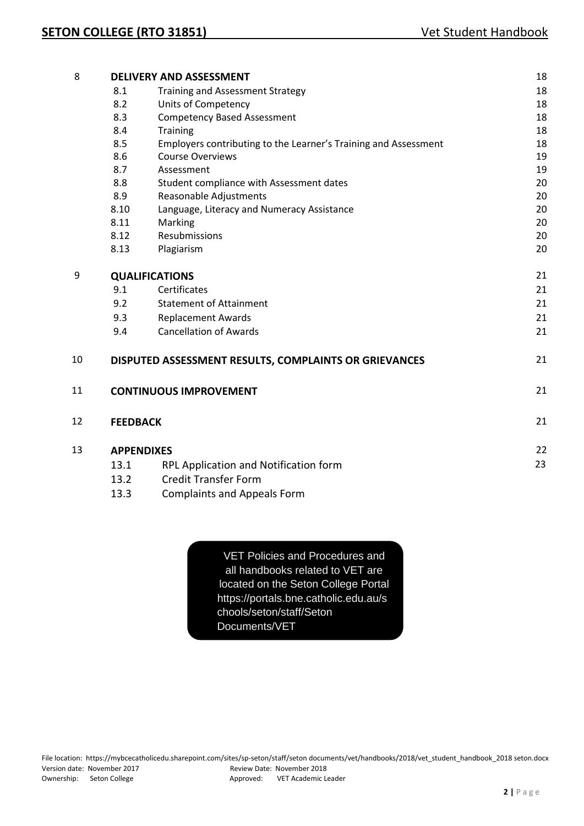| 8  |                                           | <b>DELIVERY AND ASSESSMENT</b>                                                                             | 18       |
|----|-------------------------------------------|------------------------------------------------------------------------------------------------------------|----------|
|    | 8.1                                       | <b>Training and Assessment Strategy</b>                                                                    | 18       |
|    | 8.2                                       | <b>Units of Competency</b>                                                                                 | 18       |
|    | 8.3                                       | <b>Competency Based Assessment</b>                                                                         | 18       |
|    | 8.4                                       | <b>Training</b>                                                                                            | 18       |
|    | 8.5                                       | Employers contributing to the Learner's Training and Assessment                                            | 18       |
|    | 8.6                                       | <b>Course Overviews</b>                                                                                    | 19       |
|    | 8.7                                       | Assessment                                                                                                 | 19       |
|    | 8.8                                       | Student compliance with Assessment dates                                                                   | 20       |
|    | 8.9                                       | Reasonable Adjustments                                                                                     | 20       |
|    | 8.10                                      | Language, Literacy and Numeracy Assistance                                                                 | 20       |
|    | 8.11                                      | Marking                                                                                                    | 20       |
|    | 8.12                                      | Resubmissions                                                                                              | 20       |
|    | 8.13                                      | Plagiarism                                                                                                 | 20       |
|    |                                           |                                                                                                            |          |
| 9  |                                           | <b>QUALIFICATIONS</b>                                                                                      | 21       |
|    | 9.1                                       | Certificates                                                                                               | 21       |
|    | 9.2                                       | <b>Statement of Attainment</b>                                                                             | 21       |
|    | 9.3                                       | <b>Replacement Awards</b>                                                                                  | 21       |
|    | 9.4                                       | <b>Cancellation of Awards</b>                                                                              | 21       |
| 10 |                                           | DISPUTED ASSESSMENT RESULTS, COMPLAINTS OR GRIEVANCES                                                      | 21       |
| 11 |                                           | <b>CONTINUOUS IMPROVEMENT</b>                                                                              | 21       |
| 12 | <b>FEEDBACK</b>                           |                                                                                                            | 21       |
| 13 | <b>APPENDIXES</b><br>13.1<br>13.2<br>13.3 | RPL Application and Notification form<br><b>Credit Transfer Form</b><br><b>Complaints and Appeals Form</b> | 22<br>23 |
|    |                                           |                                                                                                            |          |

VET Policies and Procedures and all handbooks related to VET are located on the Seton College Portal https://portals.bne.catholic.edu.au/s chools/seton/staff/Seton Documents/VET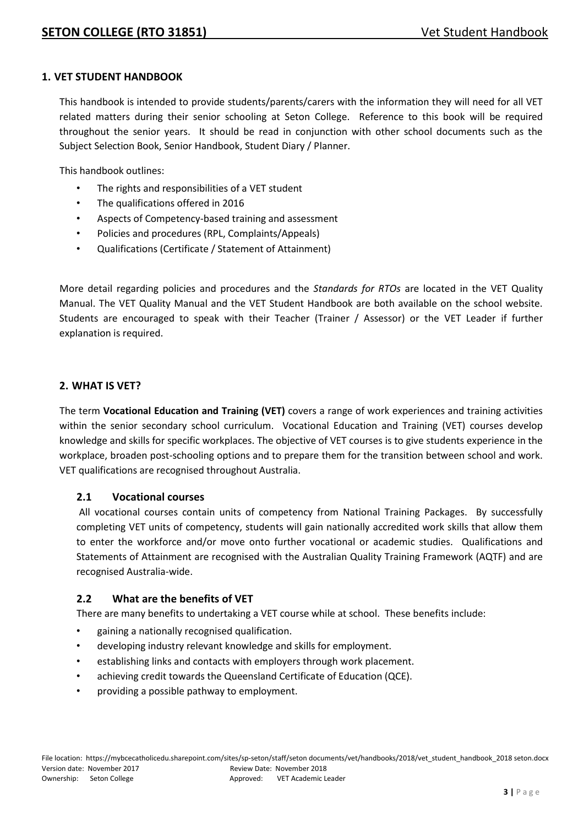#### **1. VET STUDENT HANDBOOK**

This handbook is intended to provide students/parents/carers with the information they will need for all VET related matters during their senior schooling at Seton College. Reference to this book will be required throughout the senior years. It should be read in conjunction with other school documents such as the Subject Selection Book, Senior Handbook, Student Diary / Planner.

This handbook outlines:

- The rights and responsibilities of a VET student
- The qualifications offered in 2016
- Aspects of Competency-based training and assessment
- Policies and procedures (RPL, Complaints/Appeals)
- Qualifications (Certificate / Statement of Attainment)

More detail regarding policies and procedures and the *Standards for RTOs* are located in the VET Quality Manual. The VET Quality Manual and the VET Student Handbook are both available on the school website. Students are encouraged to speak with their Teacher (Trainer / Assessor) or the VET Leader if further explanation is required.

#### **2. WHAT IS VET?**

The term **Vocational Education and Training (VET)** covers a range of work experiences and training activities within the senior secondary school curriculum. Vocational Education and Training (VET) courses develop knowledge and skills for specific workplaces. The objective of VET courses is to give students experience in the workplace, broaden post-schooling options and to prepare them for the transition between school and work. VET qualifications are recognised throughout Australia.

#### **2.1 Vocational courses**

All vocational courses contain units of competency from National Training Packages. By successfully completing VET units of competency, students will gain nationally accredited work skills that allow them to enter the workforce and/or move onto further vocational or academic studies. Qualifications and Statements of Attainment are recognised with the Australian Quality Training Framework (AQTF) and are recognised Australia-wide.

#### **2.2 What are the benefits of VET**

There are many benefits to undertaking a VET course while at school. These benefits include:

- gaining a nationally recognised qualification.
- developing industry relevant knowledge and skills for employment.
- establishing links and contacts with employers through work placement.
- achieving credit towards the Queensland Certificate of Education (QCE).
- providing a possible pathway to employment.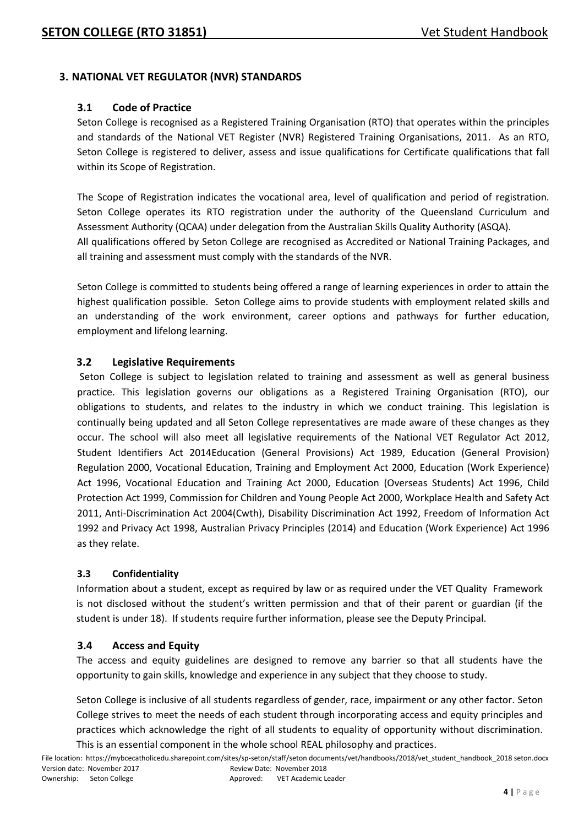#### **3. NATIONAL VET REGULATOR (NVR) STANDARDS**

#### **3.1 Code of Practice**

Seton College is recognised as a Registered Training Organisation (RTO) that operates within the principles and standards of the National VET Register (NVR) Registered Training Organisations, 2011. As an RTO, Seton College is registered to deliver, assess and issue qualifications for Certificate qualifications that fall within its Scope of Registration.

The Scope of Registration indicates the vocational area, level of qualification and period of registration. Seton College operates its RTO registration under the authority of the Queensland Curriculum and Assessment Authority (QCAA) under delegation from the Australian Skills Quality Authority (ASQA). All qualifications offered by Seton College are recognised as Accredited or National Training Packages, and all training and assessment must comply with the standards of the NVR.

Seton College is committed to students being offered a range of learning experiences in order to attain the highest qualification possible. Seton College aims to provide students with employment related skills and an understanding of the work environment, career options and pathways for further education, employment and lifelong learning.

#### **3.2 Legislative Requirements**

Seton College is subject to legislation related to training and assessment as well as general business practice. This legislation governs our obligations as a Registered Training Organisation (RTO), our obligations to students, and relates to the industry in which we conduct training. This legislation is continually being updated and all Seton College representatives are made aware of these changes as they occur. The school will also meet all legislative requirements of the National VET Regulator Act 2012, Student Identifiers Act 2014Education (General Provisions) Act 1989, Education (General Provision) Regulation 2000, Vocational Education, Training and Employment Act 2000, Education (Work Experience) Act 1996, Vocational Education and Training Act 2000, Education (Overseas Students) Act 1996, Child Protection Act 1999, Commission for Children and Young People Act 2000, Workplace Health and Safety Act 2011, Anti-Discrimination Act 2004(Cwth), Disability Discrimination Act 1992, Freedom of Information Act 1992 and Privacy Act 1998, Australian Privacy Principles (2014) and Education (Work Experience) Act 1996 as they relate.

#### **3.3 Confidentiality**

Information about a student, except as required by law or as required under the VET Quality Framework is not disclosed without the student's written permission and that of their parent or guardian (if the student is under 18). If students require further information, please see the Deputy Principal.

#### **3.4 Access and Equity**

The access and equity guidelines are designed to remove any barrier so that all students have the opportunity to gain skills, knowledge and experience in any subject that they choose to study.

Seton College is inclusive of all students regardless of gender, race, impairment or any other factor. Seton College strives to meet the needs of each student through incorporating access and equity principles and practices which acknowledge the right of all students to equality of opportunity without discrimination. This is an essential component in the whole school REAL philosophy and practices.

File location: https://mybcecatholicedu.sharepoint.com/sites/sp-seton/staff/seton documents/vet/handbooks/2018/vet\_student\_handbook\_2018 seton.docx Version date: November 2017 Review Date: November 2018 Ownership: Seton College Approved: VET Academic Leader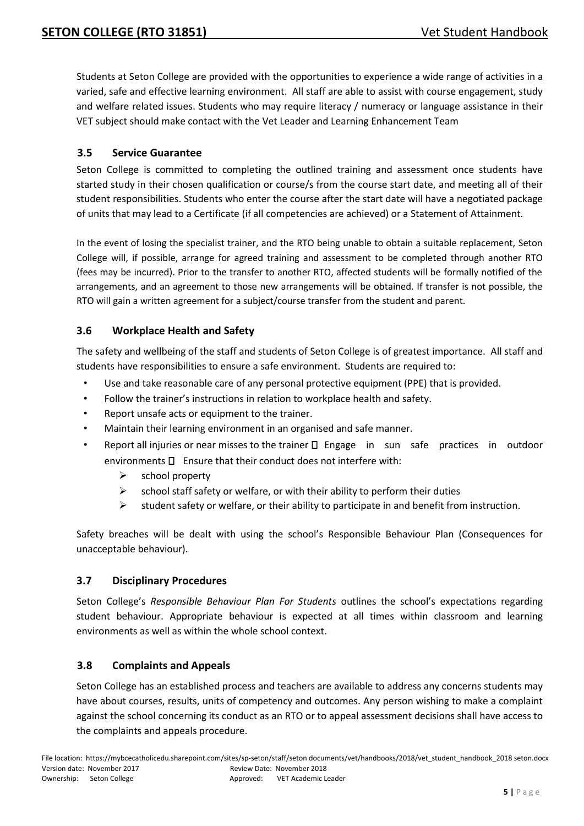Students at Seton College are provided with the opportunities to experience a wide range of activities in a varied, safe and effective learning environment. All staff are able to assist with course engagement, study and welfare related issues. Students who may require literacy / numeracy or language assistance in their VET subject should make contact with the Vet Leader and Learning Enhancement Team

#### **3.5 Service Guarantee**

Seton College is committed to completing the outlined training and assessment once students have started study in their chosen qualification or course/s from the course start date, and meeting all of their student responsibilities. Students who enter the course after the start date will have a negotiated package of units that may lead to a Certificate (if all competencies are achieved) or a Statement of Attainment.

In the event of losing the specialist trainer, and the RTO being unable to obtain a suitable replacement, Seton College will, if possible, arrange for agreed training and assessment to be completed through another RTO (fees may be incurred). Prior to the transfer to another RTO, affected students will be formally notified of the arrangements, and an agreement to those new arrangements will be obtained. If transfer is not possible, the RTO will gain a written agreement for a subject/course transfer from the student and parent.

#### **3.6 Workplace Health and Safety**

The safety and wellbeing of the staff and students of Seton College is of greatest importance. All staff and students have responsibilities to ensure a safe environment. Students are required to:

- Use and take reasonable care of any personal protective equipment (PPE) that is provided.
- Follow the trainer's instructions in relation to workplace health and safety.
- Report unsafe acts or equipment to the trainer.
- Maintain their learning environment in an organised and safe manner.
- Report all injuries or near misses to the trainer  $\Box$  Engage in sun safe practices in outdoor environments  $\square$  Ensure that their conduct does not interfere with:
	- $\triangleright$  school property
	- $\triangleright$  school staff safety or welfare, or with their ability to perform their duties
	- $\triangleright$  student safety or welfare, or their ability to participate in and benefit from instruction.

Safety breaches will be dealt with using the school's Responsible Behaviour Plan (Consequences for unacceptable behaviour).

#### **3.7 Disciplinary Procedures**

Seton College's *Responsible Behaviour Plan For Students* outlines the school's expectations regarding student behaviour. Appropriate behaviour is expected at all times within classroom and learning environments as well as within the whole school context.

#### **3.8 Complaints and Appeals**

Seton College has an established process and teachers are available to address any concerns students may have about courses, results, units of competency and outcomes. Any person wishing to make a complaint against the school concerning its conduct as an RTO or to appeal assessment decisions shall have access to the complaints and appeals procedure.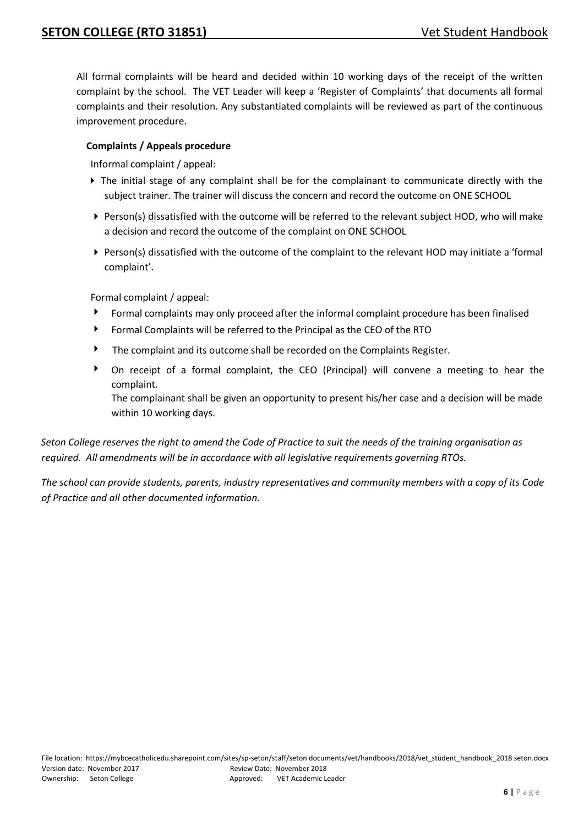All formal complaints will be heard and decided within 10 working days of the receipt of the written complaint by the school. The VET Leader will keep a 'Register of Complaints' that documents all formal complaints and their resolution. Any substantiated complaints will be reviewed as part of the continuous improvement procedure.

#### **Complaints / Appeals procedure**

Informal complaint / appeal:

- The initial stage of any complaint shall be for the complainant to communicate directly with the subject trainer. The trainer will discuss the concern and record the outcome on ONE SCHOOL
- Person(s) dissatisfied with the outcome will be referred to the relevant subject HOD, who will make a decision and record the outcome of the complaint on ONE SCHOOL
- Person(s) dissatisfied with the outcome of the complaint to the relevant HOD may initiate a 'formal complaint'.

Formal complaint / appeal:

- Formal complaints may only proceed after the informal complaint procedure has been finalised
- Formal Complaints will be referred to the Principal as the CEO of the RTO
- The complaint and its outcome shall be recorded on the Complaints Register.
- On receipt of a formal complaint, the CEO (Principal) will convene a meeting to hear the complaint.

The complainant shall be given an opportunity to present his/her case and a decision will be made within 10 working days.

*Seton College reserves the right to amend the Code of Practice to suit the needs of the training organisation as required. All amendments will be in accordance with all legislative requirements governing RTOs.* 

*The school can provide students, parents, industry representatives and community members with a copy of its Code of Practice and all other documented information.*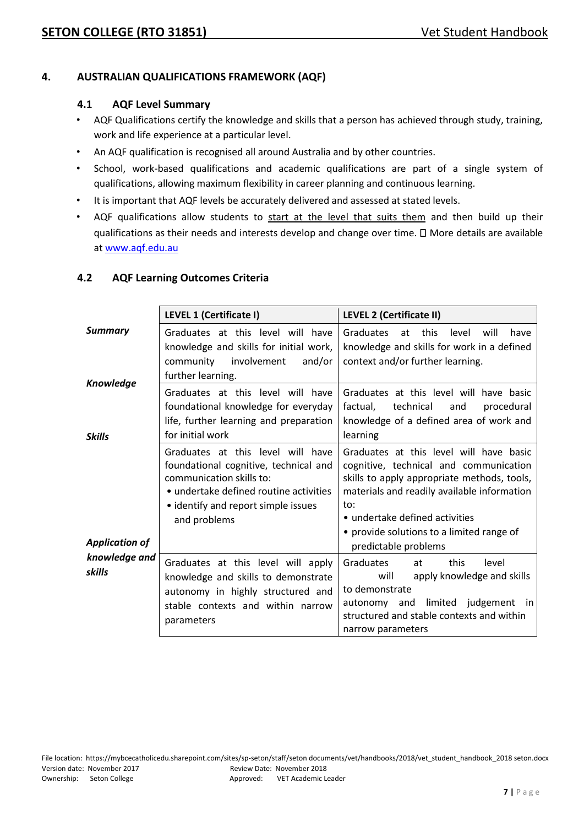#### **4. AUSTRALIAN QUALIFICATIONS FRAMEWORK (AQF)**

#### **4.1 AQF Level Summary**

- AQF Qualifications certify the knowledge and skills that a person has achieved through study, training, work and life experience at a particular level.
- An AQF qualification is recognised all around Australia and by other countries.
- School, work-based qualifications and academic qualifications are part of a single system of qualifications, allowing maximum flexibility in career planning and continuous learning.
- It is important that AQF levels be accurately delivered and assessed at stated levels.
- AQF qualifications allow students to start at the level that suits them and then build up their qualifications as their needs and interests develop and change over time.  $\Box$  More details are available at [www.aqf.edu.au](http://www.aqf.edu.au/)

|                                   | LEVEL 1 (Certificate I)                                                                                                                                                                                 | <b>LEVEL 2 (Certificate II)</b>                                                                                                                                                                                                                                                               |
|-----------------------------------|---------------------------------------------------------------------------------------------------------------------------------------------------------------------------------------------------------|-----------------------------------------------------------------------------------------------------------------------------------------------------------------------------------------------------------------------------------------------------------------------------------------------|
| <b>Summary</b>                    | Graduates at this level will have<br>knowledge and skills for initial work,<br>community<br>involvement<br>and/or<br>further learning.                                                                  | at this<br>Graduates<br>level<br>will<br>have<br>knowledge and skills for work in a defined<br>context and/or further learning.                                                                                                                                                               |
| <b>Knowledge</b><br><b>Skills</b> | Graduates at this level will have<br>foundational knowledge for everyday<br>life, further learning and preparation<br>for initial work                                                                  | Graduates at this level will have basic<br>technical<br>factual,<br>procedural<br>and<br>knowledge of a defined area of work and<br>learning                                                                                                                                                  |
| <b>Application of</b>             | Graduates at this level will have<br>foundational cognitive, technical and<br>communication skills to:<br>• undertake defined routine activities<br>• identify and report simple issues<br>and problems | Graduates at this level will have basic<br>cognitive, technical and communication<br>skills to apply appropriate methods, tools,<br>materials and readily available information<br>to:<br>• undertake defined activities<br>• provide solutions to a limited range of<br>predictable problems |
| knowledge and<br>skills           | Graduates at this level will apply<br>knowledge and skills to demonstrate<br>autonomy in highly structured and<br>stable contexts and within narrow<br>parameters                                       | Graduates<br>this<br>level<br>at<br>apply knowledge and skills<br>will<br>to demonstrate<br>limited judgement in<br>autonomy and<br>structured and stable contexts and within<br>narrow parameters                                                                                            |

#### **4.2 AQF Learning Outcomes Criteria**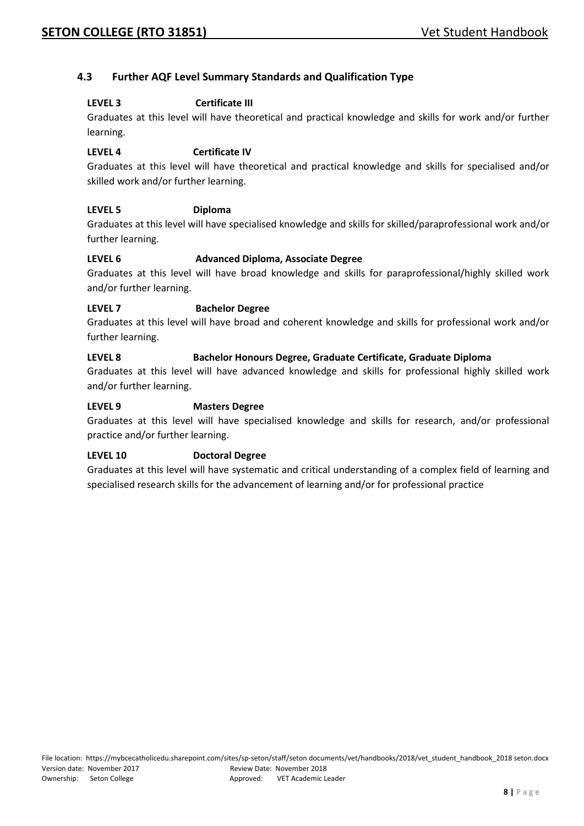#### **4.3 Further AQF Level Summary Standards and Qualification Type**

#### **LEVEL 3 Certificate III**

Graduates at this level will have theoretical and practical knowledge and skills for work and/or further learning.

#### **LEVEL 4 Certificate IV**

Graduates at this level will have theoretical and practical knowledge and skills for specialised and/or skilled work and/or further learning.

#### **LEVEL 5 Diploma**

Graduates at this level will have specialised knowledge and skills for skilled/paraprofessional work and/or further learning.

#### **LEVEL 6 Advanced Diploma, Associate Degree**

Graduates at this level will have broad knowledge and skills for paraprofessional/highly skilled work and/or further learning.

#### **LEVEL 7 Bachelor Degree**

Graduates at this level will have broad and coherent knowledge and skills for professional work and/or further learning.

#### **LEVEL 8 Bachelor Honours Degree, Graduate Certificate, Graduate Diploma**

Graduates at this level will have advanced knowledge and skills for professional highly skilled work and/or further learning.

#### **LEVEL 9 Masters Degree**

Graduates at this level will have specialised knowledge and skills for research, and/or professional practice and/or further learning.

#### **LEVEL 10 Doctoral Degree**

Graduates at this level will have systematic and critical understanding of a complex field of learning and specialised research skills for the advancement of learning and/or for professional practice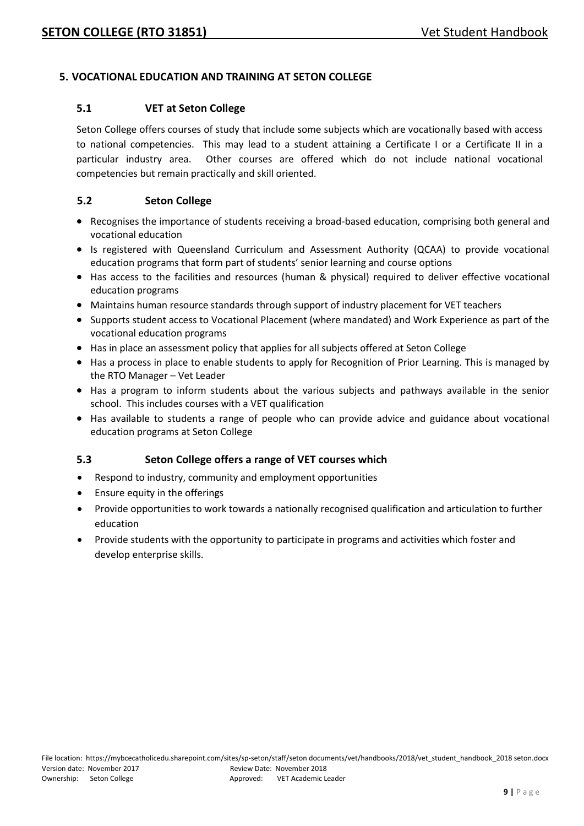#### **5. VOCATIONAL EDUCATION AND TRAINING AT SETON COLLEGE**

#### **5.1 VET at Seton College**

Seton College offers courses of study that include some subjects which are vocationally based with access to national competencies. This may lead to a student attaining a Certificate I or a Certificate II in a particular industry area. Other courses are offered which do not include national vocational competencies but remain practically and skill oriented.

#### **5.2 Seton College**

- Recognises the importance of students receiving a broad-based education, comprising both general and vocational education
- Is registered with Queensland Curriculum and Assessment Authority (QCAA) to provide vocational education programs that form part of students' senior learning and course options
- Has access to the facilities and resources (human & physical) required to deliver effective vocational education programs
- Maintains human resource standards through support of industry placement for VET teachers
- Supports student access to Vocational Placement (where mandated) and Work Experience as part of the vocational education programs
- Has in place an assessment policy that applies for all subjects offered at Seton College
- Has a process in place to enable students to apply for Recognition of Prior Learning. This is managed by the RTO Manager – Vet Leader
- Has a program to inform students about the various subjects and pathways available in the senior school. This includes courses with a VET qualification
- Has available to students a range of people who can provide advice and guidance about vocational education programs at Seton College

#### **5.3 Seton College offers a range of VET courses which**

- Respond to industry, community and employment opportunities
- Ensure equity in the offerings
- Provide opportunities to work towards a nationally recognised qualification and articulation to further education
- Provide students with the opportunity to participate in programs and activities which foster and develop enterprise skills.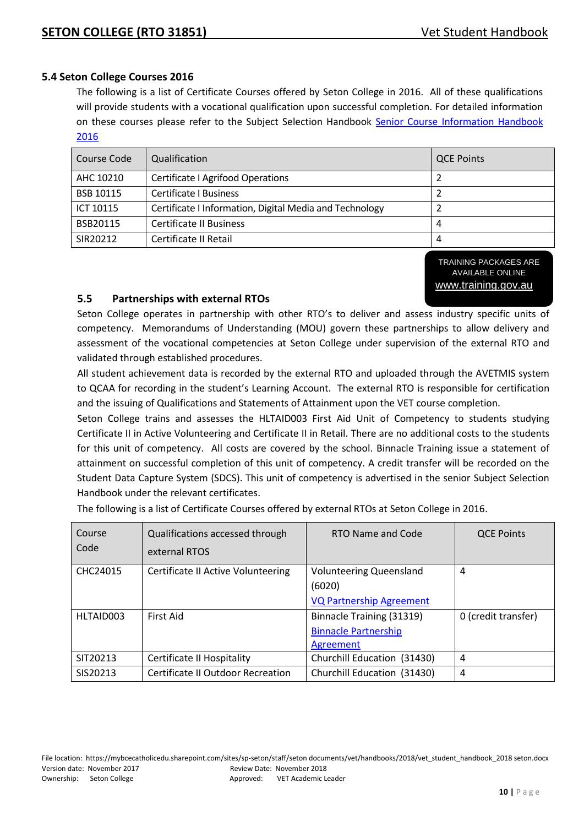#### **5.4 Seton College Courses 2016**

The following is a list of Certificate Courses offered by Seton College in 2016. All of these qualifications will provide students with a vocational qualification upon successful completion. For detailed information on these courses please refer to the Subject Selection Handbook Senior Course Information Handbook [2016](file://///smteadm02/staff_common$/APA%20folder/Subject%20Selection/Booklet/Senior_Course_Information_Handbook_2016_2017.doc)

| Course Code      | Qualification                                           | <b>QCE Points</b> |
|------------------|---------------------------------------------------------|-------------------|
| AHC 10210        | <b>Certificate I Agrifood Operations</b>                |                   |
| <b>BSB 10115</b> | <b>Certificate I Business</b>                           |                   |
| ICT 10115        | Certificate I Information, Digital Media and Technology |                   |
| BSB20115         | <b>Certificate II Business</b>                          |                   |
| SIR20212         | Certificate II Retail                                   |                   |

TRAINING PACKAGES ARE AVAILABLE ONLINE [www.training.gov.au](http://www.training.gov.au/)

#### **5.5 Partnerships with external RTOs**

Seton College operates in partnership with other RTO's to deliver and assess industry specific units of competency. Memorandums of Understanding (MOU) govern these partnerships to allow delivery and assessment of the vocational competencies at Seton College under supervision of the external RTO and validated through established procedures.

All student achievement data is recorded by the external RTO and uploaded through the AVETMIS system to QCAA for recording in the student's Learning Account. The external RTO is responsible for certification and the issuing of Qualifications and Statements of Attainment upon the VET course completion.

Seton College trains and assesses the HLTAID003 First Aid Unit of Competency to students studying Certificate II in Active Volunteering and Certificate II in Retail. There are no additional costs to the students for this unit of competency. All costs are covered by the school. Binnacle Training issue a statement of attainment on successful completion of this unit of competency. A credit transfer will be recorded on the Student Data Capture System (SDCS). This unit of competency is advertised in the senior Subject Selection Handbook under the relevant certificates.

The following is a list of Certificate Courses offered by external RTOs at Seton College in 2016.

| Course<br>Code | Qualifications accessed through<br>external RTOS | RTO Name and Code               | <b>QCE Points</b>   |
|----------------|--------------------------------------------------|---------------------------------|---------------------|
| CHC24015       | Certificate II Active Volunteering               | <b>Volunteering Queensland</b>  | 4                   |
|                |                                                  | (6020)                          |                     |
|                |                                                  | <b>VQ Partnership Agreement</b> |                     |
| HLTAID003      | <b>First Aid</b>                                 | Binnacle Training (31319)       | 0 (credit transfer) |
|                |                                                  | <b>Binnacle Partnership</b>     |                     |
|                |                                                  | Agreement                       |                     |
| SIT20213       | Certificate II Hospitality                       | Churchill Education (31430)     | 4                   |
| SIS20213       | Certificate II Outdoor Recreation                | Churchill Education (31430)     | 4                   |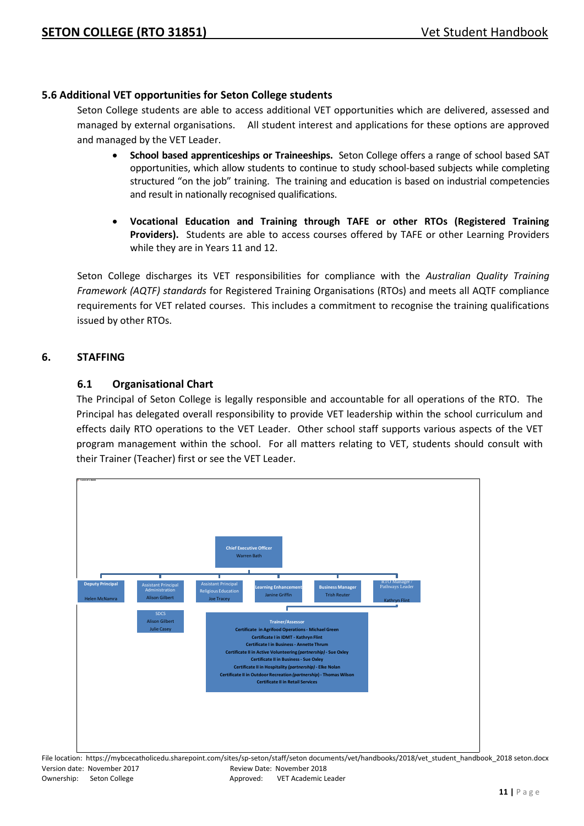#### **5.6 Additional VET opportunities for Seton College students**

Seton College students are able to access additional VET opportunities which are delivered, assessed and managed by external organisations. All student interest and applications for these options are approved and managed by the VET Leader.

- **School based apprenticeships or Traineeships.** Seton College offers a range of school based SAT opportunities, which allow students to continue to study school-based subjects while completing structured "on the job" training. The training and education is based on industrial competencies and result in nationally recognised qualifications.
- **Vocational Education and Training through TAFE or other RTOs (Registered Training Providers).** Students are able to access courses offered by TAFE or other Learning Providers while they are in Years 11 and 12.

Seton College discharges its VET responsibilities for compliance with the *Australian Quality Training Framework (AQTF) standards* for Registered Training Organisations (RTOs) and meets all AQTF compliance requirements for VET related courses. This includes a commitment to recognise the training qualifications issued by other RTOs.

#### **6. STAFFING**

#### **6.1 Organisational Chart**

The Principal of Seton College is legally responsible and accountable for all operations of the RTO. The Principal has delegated overall responsibility to provide VET leadership within the school curriculum and effects daily RTO operations to the VET Leader. Other school staff supports various aspects of the VET program management within the school. For all matters relating to VET, students should consult with their Trainer (Teacher) first or see the VET Leader.



|                             |           | File location: https://mybcecatholicedu.sharepoint.com/sites/sp-seton/staff/seton documents/vet/handbooks/2018/vet student handbook 2018 seton.docx |
|-----------------------------|-----------|-----------------------------------------------------------------------------------------------------------------------------------------------------|
| Version date: November 2017 |           | Review Date: November 2018                                                                                                                          |
| Ownership: Seton College    | Approved: | VET Academic Leader                                                                                                                                 |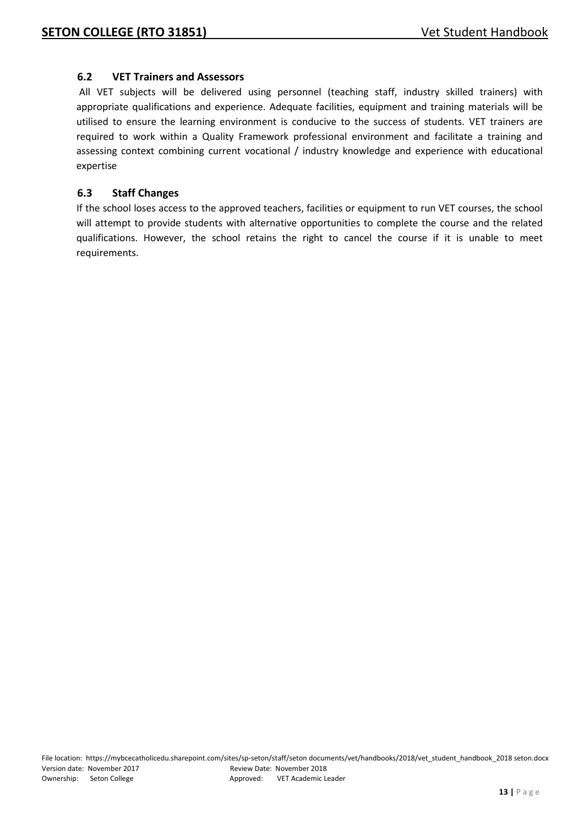#### **6.2 VET Trainers and Assessors**

All VET subjects will be delivered using personnel (teaching staff, industry skilled trainers) with appropriate qualifications and experience. Adequate facilities, equipment and training materials will be utilised to ensure the learning environment is conducive to the success of students. VET trainers are required to work within a Quality Framework professional environment and facilitate a training and assessing context combining current vocational / industry knowledge and experience with educational expertise

#### **6.3 Staff Changes**

If the school loses access to the approved teachers, facilities or equipment to run VET courses, the school will attempt to provide students with alternative opportunities to complete the course and the related qualifications. However, the school retains the right to cancel the course if it is unable to meet requirements.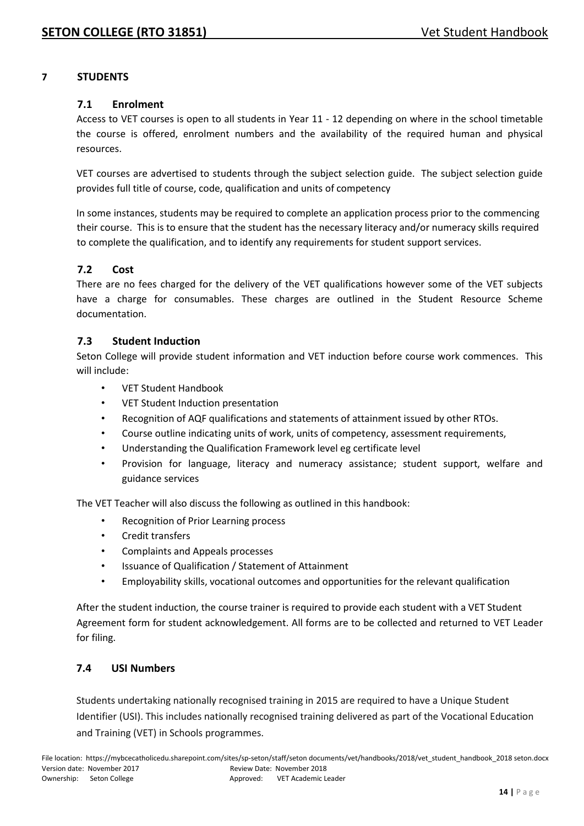#### **7 STUDENTS**

#### **7.1 Enrolment**

Access to VET courses is open to all students in Year 11 - 12 depending on where in the school timetable the course is offered, enrolment numbers and the availability of the required human and physical resources.

VET courses are advertised to students through the subject selection guide. The subject selection guide provides full title of course, code, qualification and units of competency

In some instances, students may be required to complete an application process prior to the commencing their course. This is to ensure that the student has the necessary literacy and/or numeracy skills required to complete the qualification, and to identify any requirements for student support services.

#### **7.2 Cost**

There are no fees charged for the delivery of the VET qualifications however some of the VET subjects have a charge for consumables. These charges are outlined in the Student Resource Scheme documentation.

#### **7.3 Student Induction**

Seton College will provide student information and VET induction before course work commences. This will include:

- VET Student Handbook
- VET Student Induction presentation
- Recognition of AQF qualifications and statements of attainment issued by other RTOs.
- Course outline indicating units of work, units of competency, assessment requirements,
- Understanding the Qualification Framework level eg certificate level
- Provision for language, literacy and numeracy assistance; student support, welfare and guidance services

The VET Teacher will also discuss the following as outlined in this handbook:

- Recognition of Prior Learning process
- Credit transfers
- Complaints and Appeals processes
- Issuance of Qualification / Statement of Attainment
- Employability skills, vocational outcomes and opportunities for the relevant qualification

After the student induction, the course trainer is required to provide each student with a VET Student Agreement form for student acknowledgement. All forms are to be collected and returned to VET Leader for filing.

#### **7.4 USI Numbers**

Students undertaking nationally recognised training in 2015 are required to have a Unique Student Identifier (USI). This includes nationally recognised training delivered as part of the Vocational Education and Training (VET) in Schools programmes.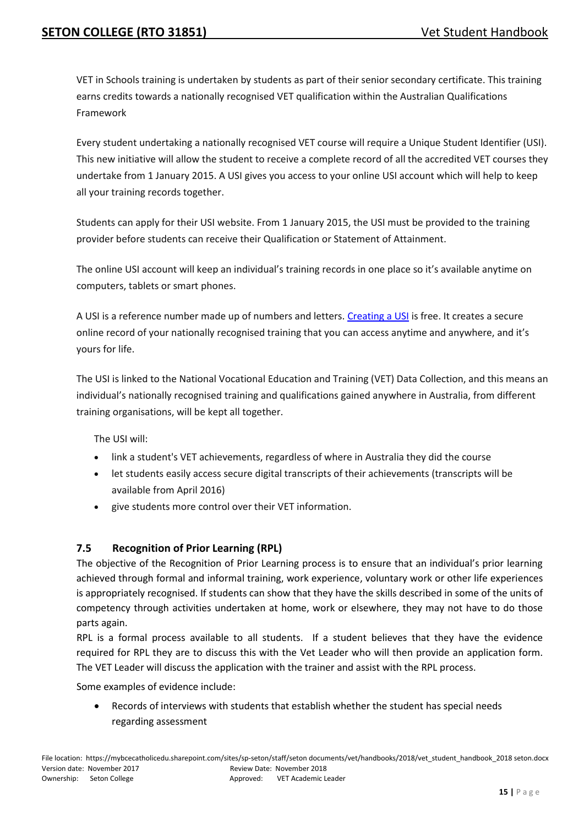VET in Schools training is undertaken by students as part of their senior secondary certificate. This training earns credits towards a nationally recognised VET qualification within the Australian Qualifications Framework

Every student undertaking a nationally recognised VET course will require a Unique Student Identifier (USI). This new initiative will allow the student to receive a complete record of all the accredited VET courses they undertake from 1 January 2015. A USI gives you access to your online USI account which will help to keep all your training records together.

Students can apply for their USI website. From 1 January 2015, the USI must be provided to the training provider before students can receive their Qualification or Statement of Attainment.

The online USI account will keep an individual's training records in one place so it's available anytime on computers, tablets or smart phones.

A USI is a reference number made up of numbers and letters. [Creating a USI](http://www.usi.gov.au/create-your-USI) is free. It creates a secure online record of your nationally recognised training that you can access anytime and anywhere, and it's yours for life.

The USI is linked to the National Vocational Education and Training (VET) Data Collection, and this means an individual's nationally recognised training and qualifications gained anywhere in Australia, from different training organisations, will be kept all together.

The USI will:

- link a student's VET achievements, regardless of where in Australia they did the course
- let students easily access secure digital transcripts of their achievements (transcripts will be available from April 2016)
- give students more control over their VET information.

#### **7.5 Recognition of Prior Learning (RPL)**

The objective of the Recognition of Prior Learning process is to ensure that an individual's prior learning achieved through formal and informal training, work experience, voluntary work or other life experiences is appropriately recognised. If students can show that they have the skills described in some of the units of competency through activities undertaken at home, work or elsewhere, they may not have to do those parts again.

RPL is a formal process available to all students. If a student believes that they have the evidence required for RPL they are to discuss this with the Vet Leader who will then provide an application form. The VET Leader will discuss the application with the trainer and assist with the RPL process.

Some examples of evidence include:

• Records of interviews with students that establish whether the student has special needs regarding assessment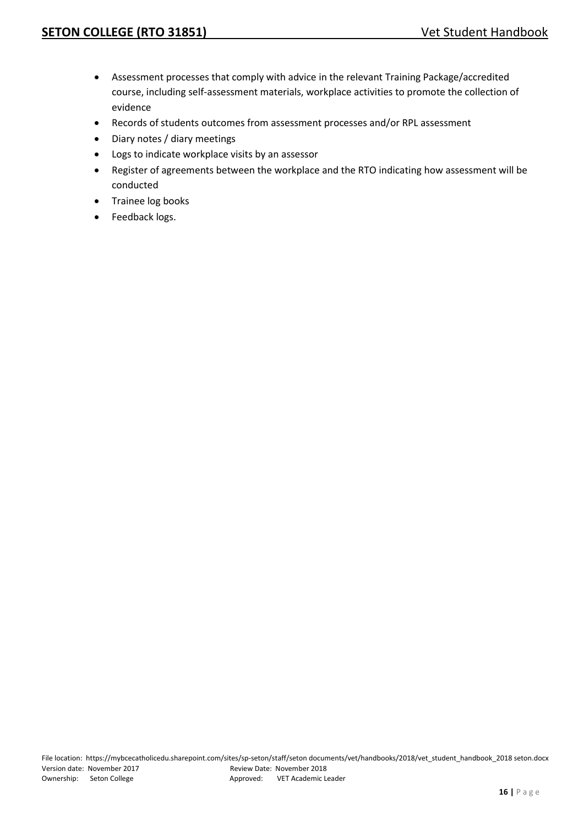- Assessment processes that comply with advice in the relevant Training Package/accredited course, including self-assessment materials, workplace activities to promote the collection of evidence
- Records of students outcomes from assessment processes and/or RPL assessment
- Diary notes / diary meetings
- Logs to indicate workplace visits by an assessor
- Register of agreements between the workplace and the RTO indicating how assessment will be conducted
- Trainee log books
- Feedback logs.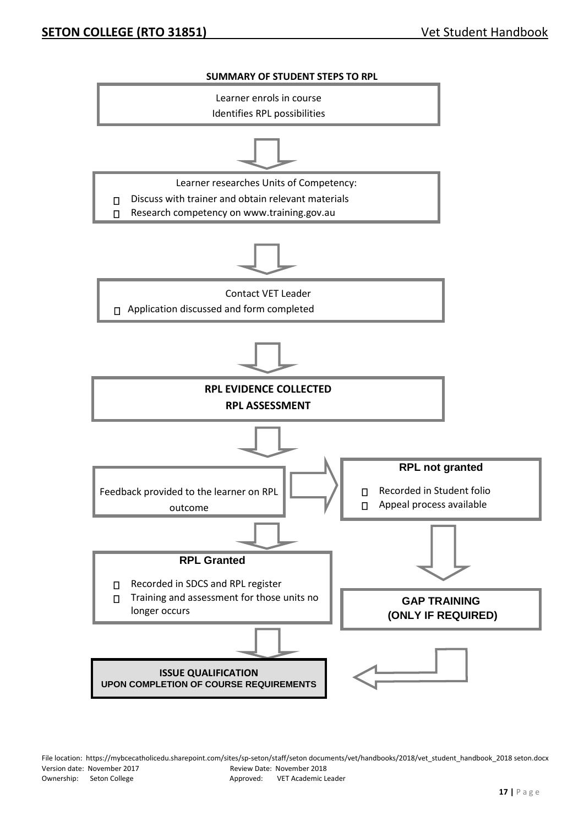

File location: https://mybcecatholicedu.sharepoint.com/sites/sp-seton/staff/seton documents/vet/handbooks/2018/vet\_student\_handbook\_2018 seton.docx Version date: November 2017 Review Date: November 2018 Ownership: Seton College Approved: VET Academic Leader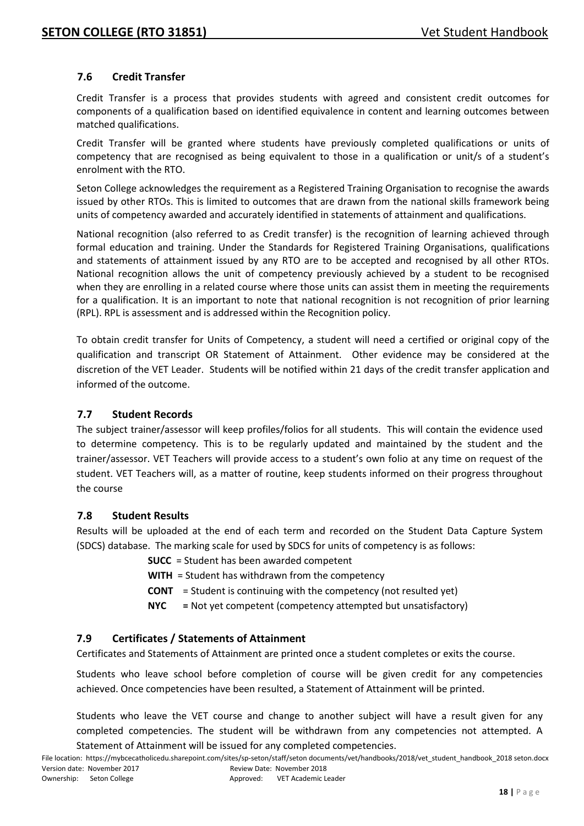#### **7.6 Credit Transfer**

Credit Transfer is a process that provides students with agreed and consistent credit outcomes for components of a qualification based on identified equivalence in content and learning outcomes between matched qualifications.

Credit Transfer will be granted where students have previously completed qualifications or units of competency that are recognised as being equivalent to those in a qualification or unit/s of a student's enrolment with the RTO.

Seton College acknowledges the requirement as a Registered Training Organisation to recognise the awards issued by other RTOs. This is limited to outcomes that are drawn from the national skills framework being units of competency awarded and accurately identified in statements of attainment and qualifications.

National recognition (also referred to as Credit transfer) is the recognition of learning achieved through formal education and training. Under the Standards for Registered Training Organisations, qualifications and statements of attainment issued by any RTO are to be accepted and recognised by all other RTOs. National recognition allows the unit of competency previously achieved by a student to be recognised when they are enrolling in a related course where those units can assist them in meeting the requirements for a qualification. It is an important to note that national recognition is not recognition of prior learning (RPL). RPL is assessment and is addressed within the Recognition policy.

To obtain credit transfer for Units of Competency, a student will need a certified or original copy of the qualification and transcript OR Statement of Attainment. Other evidence may be considered at the discretion of the VET Leader. Students will be notified within 21 days of the credit transfer application and informed of the outcome.

#### **7.7 Student Records**

The subject trainer/assessor will keep profiles/folios for all students. This will contain the evidence used to determine competency. This is to be regularly updated and maintained by the student and the trainer/assessor. VET Teachers will provide access to a student's own folio at any time on request of the student. VET Teachers will, as a matter of routine, keep students informed on their progress throughout the course

#### **7.8 Student Results**

Results will be uploaded at the end of each term and recorded on the Student Data Capture System (SDCS) database. The marking scale for used by SDCS for units of competency is as follows:

- **SUCC** = Student has been awarded competent
- **WITH** = Student has withdrawn from the competency
- **CONT** = Student is continuing with the competency (not resulted yet)
- **NYC =** Not yet competent (competency attempted but unsatisfactory)

#### **7.9 Certificates / Statements of Attainment**

Certificates and Statements of Attainment are printed once a student completes or exits the course.

Students who leave school before completion of course will be given credit for any competencies achieved. Once competencies have been resulted, a Statement of Attainment will be printed.

Students who leave the VET course and change to another subject will have a result given for any completed competencies. The student will be withdrawn from any competencies not attempted. A Statement of Attainment will be issued for any completed competencies.

File location: https://mybcecatholicedu.sharepoint.com/sites/sp-seton/staff/seton documents/vet/handbooks/2018/vet\_student\_handbook\_2018 seton.docx Version date: November 2017 Review Date: November 2018 Ownership: Seton College Approved: VET Academic Leader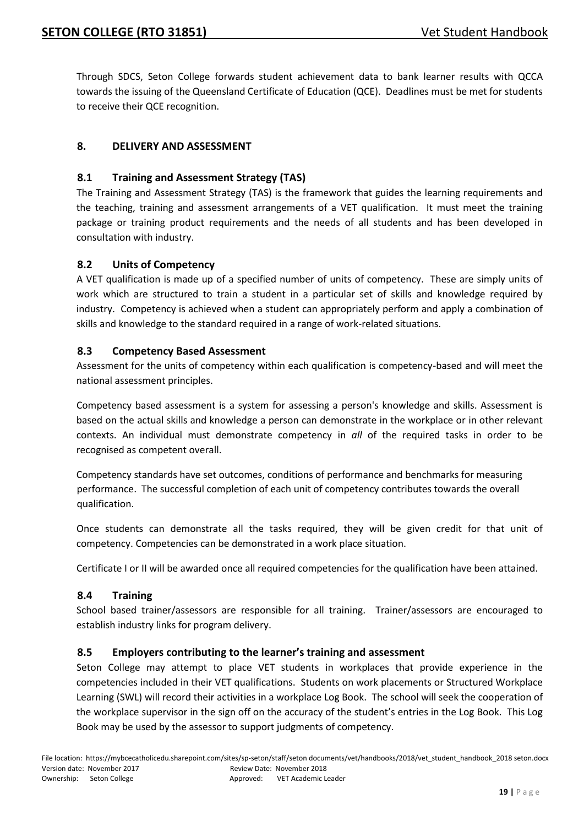Through SDCS, Seton College forwards student achievement data to bank learner results with QCCA towards the issuing of the Queensland Certificate of Education (QCE). Deadlines must be met for students to receive their QCE recognition.

#### **8. DELIVERY AND ASSESSMENT**

#### **8.1 Training and Assessment Strategy (TAS)**

The Training and Assessment Strategy (TAS) is the framework that guides the learning requirements and the teaching, training and assessment arrangements of a VET qualification. It must meet the training package or training product requirements and the needs of all students and has been developed in consultation with industry.

#### **8.2 Units of Competency**

A VET qualification is made up of a specified number of units of competency. These are simply units of work which are structured to train a student in a particular set of skills and knowledge required by industry. Competency is achieved when a student can appropriately perform and apply a combination of skills and knowledge to the standard required in a range of work-related situations.

#### **8.3 Competency Based Assessment**

Assessment for the units of competency within each qualification is competency-based and will meet the national assessment principles.

Competency based assessment is a system for assessing a person's knowledge and skills. Assessment is based on the actual skills and knowledge a person can demonstrate in the workplace or in other relevant contexts. An individual must demonstrate competency in *all* of the required tasks in order to be recognised as competent overall.

Competency standards have set outcomes, conditions of performance and benchmarks for measuring performance. The successful completion of each unit of competency contributes towards the overall qualification.

Once students can demonstrate all the tasks required, they will be given credit for that unit of competency. Competencies can be demonstrated in a work place situation.

Certificate I or II will be awarded once all required competencies for the qualification have been attained.

#### **8.4 Training**

School based trainer/assessors are responsible for all training. Trainer/assessors are encouraged to establish industry links for program delivery.

#### **8.5 Employers contributing to the learner's training and assessment**

Seton College may attempt to place VET students in workplaces that provide experience in the competencies included in their VET qualifications. Students on work placements or Structured Workplace Learning (SWL) will record their activities in a workplace Log Book. The school will seek the cooperation of the workplace supervisor in the sign off on the accuracy of the student's entries in the Log Book. This Log Book may be used by the assessor to support judgments of competency.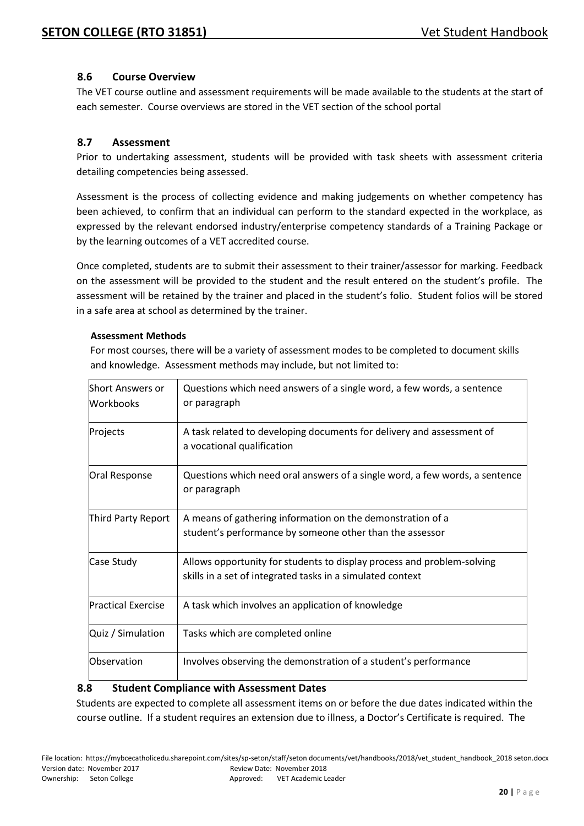#### **8.6 Course Overview**

The VET course outline and assessment requirements will be made available to the students at the start of each semester. Course overviews are stored in the VET section of the school portal

#### **8.7 Assessment**

Prior to undertaking assessment, students will be provided with task sheets with assessment criteria detailing competencies being assessed.

Assessment is the process of collecting evidence and making judgements on whether competency has been achieved, to confirm that an individual can perform to the standard expected in the workplace, as expressed by the relevant endorsed industry/enterprise competency standards of a Training Package or by the learning outcomes of a VET accredited course.

Once completed, students are to submit their assessment to their trainer/assessor for marking. Feedback on the assessment will be provided to the student and the result entered on the student's profile. The assessment will be retained by the trainer and placed in the student's folio. Student folios will be stored in a safe area at school as determined by the trainer.

#### **Assessment Methods**

For most courses, there will be a variety of assessment modes to be completed to document skills and knowledge. Assessment methods may include, but not limited to:

| <b>Short Answers or</b><br><b>Workbooks</b> | Questions which need answers of a single word, a few words, a sentence<br>or paragraph                                               |
|---------------------------------------------|--------------------------------------------------------------------------------------------------------------------------------------|
| Projects                                    | A task related to developing documents for delivery and assessment of<br>a vocational qualification                                  |
| Oral Response                               | Questions which need oral answers of a single word, a few words, a sentence<br>or paragraph                                          |
| Third Party Report                          | A means of gathering information on the demonstration of a<br>student's performance by someone other than the assessor               |
| Case Study                                  | Allows opportunity for students to display process and problem-solving<br>skills in a set of integrated tasks in a simulated context |
| <b>Practical Exercise</b>                   | A task which involves an application of knowledge                                                                                    |
| Quiz / Simulation                           | Tasks which are completed online                                                                                                     |
| Observation                                 | Involves observing the demonstration of a student's performance                                                                      |

#### **8.8 Student Compliance with Assessment Dates**

Students are expected to complete all assessment items on or before the due dates indicated within the course outline. If a student requires an extension due to illness, a Doctor's Certificate is required. The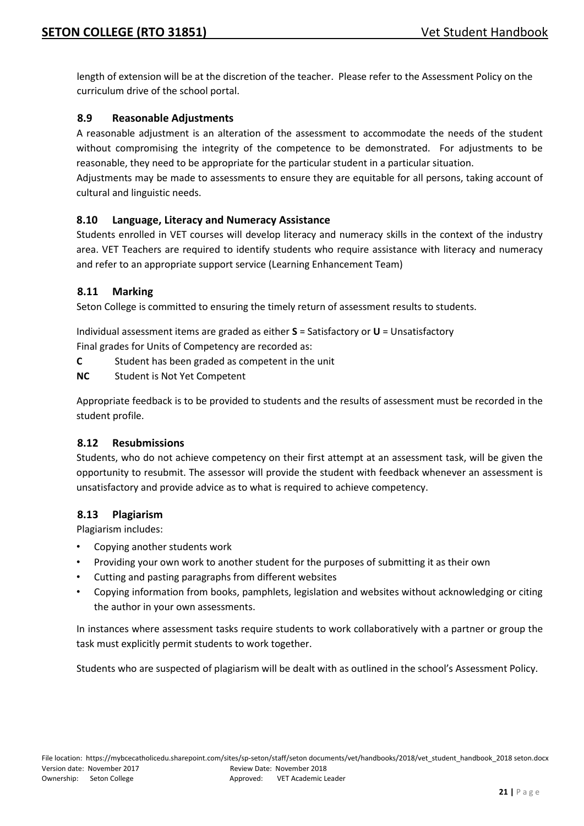length of extension will be at the discretion of the teacher. Please refer to the Assessment Policy on the curriculum drive of the school portal.

#### **8.9 Reasonable Adjustments**

A reasonable adjustment is an alteration of the assessment to accommodate the needs of the student without compromising the integrity of the competence to be demonstrated. For adjustments to be reasonable, they need to be appropriate for the particular student in a particular situation.

Adjustments may be made to assessments to ensure they are equitable for all persons, taking account of cultural and linguistic needs.

#### **8.10 Language, Literacy and Numeracy Assistance**

Students enrolled in VET courses will develop literacy and numeracy skills in the context of the industry area. VET Teachers are required to identify students who require assistance with literacy and numeracy and refer to an appropriate support service (Learning Enhancement Team)

#### **8.11 Marking**

Seton College is committed to ensuring the timely return of assessment results to students.

Individual assessment items are graded as either **S** = Satisfactory or **U** = Unsatisfactory

Final grades for Units of Competency are recorded as:

- **C** Student has been graded as competent in the unit
- **NC** Student is Not Yet Competent

Appropriate feedback is to be provided to students and the results of assessment must be recorded in the student profile.

#### **8.12 Resubmissions**

Students, who do not achieve competency on their first attempt at an assessment task, will be given the opportunity to resubmit. The assessor will provide the student with feedback whenever an assessment is unsatisfactory and provide advice as to what is required to achieve competency.

#### **8.13 Plagiarism**

Plagiarism includes:

- Copying another students work
- Providing your own work to another student for the purposes of submitting it as their own
- Cutting and pasting paragraphs from different websites
- Copying information from books, pamphlets, legislation and websites without acknowledging or citing the author in your own assessments.

In instances where assessment tasks require students to work collaboratively with a partner or group the task must explicitly permit students to work together.

Students who are suspected of plagiarism will be dealt with as outlined in the school's Assessment Policy.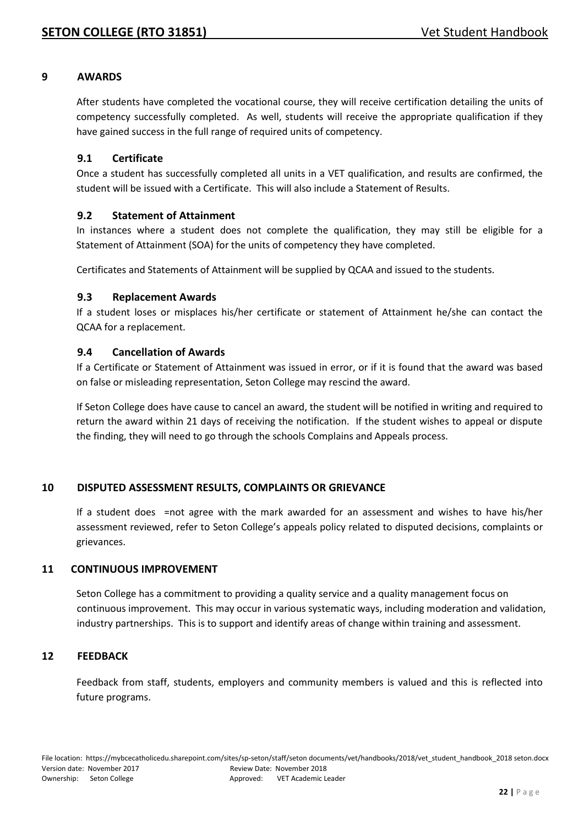#### **9 AWARDS**

After students have completed the vocational course, they will receive certification detailing the units of competency successfully completed. As well, students will receive the appropriate qualification if they have gained success in the full range of required units of competency.

#### **9.1 Certificate**

Once a student has successfully completed all units in a VET qualification, and results are confirmed, the student will be issued with a Certificate. This will also include a Statement of Results.

#### **9.2 Statement of Attainment**

In instances where a student does not complete the qualification, they may still be eligible for a Statement of Attainment (SOA) for the units of competency they have completed.

Certificates and Statements of Attainment will be supplied by QCAA and issued to the students.

#### **9.3 Replacement Awards**

If a student loses or misplaces his/her certificate or statement of Attainment he/she can contact the QCAA for a replacement.

#### **9.4 Cancellation of Awards**

If a Certificate or Statement of Attainment was issued in error, or if it is found that the award was based on false or misleading representation, Seton College may rescind the award.

If Seton College does have cause to cancel an award, the student will be notified in writing and required to return the award within 21 days of receiving the notification. If the student wishes to appeal or dispute the finding, they will need to go through the schools Complains and Appeals process.

#### **10 DISPUTED ASSESSMENT RESULTS, COMPLAINTS OR GRIEVANCE**

If a student does =not agree with the mark awarded for an assessment and wishes to have his/her assessment reviewed, refer to Seton College's appeals policy related to disputed decisions, complaints or grievances.

#### **11 CONTINUOUS IMPROVEMENT**

Seton College has a commitment to providing a quality service and a quality management focus on continuous improvement. This may occur in various systematic ways, including moderation and validation, industry partnerships. This is to support and identify areas of change within training and assessment.

#### **12 FEEDBACK**

Feedback from staff, students, employers and community members is valued and this is reflected into future programs.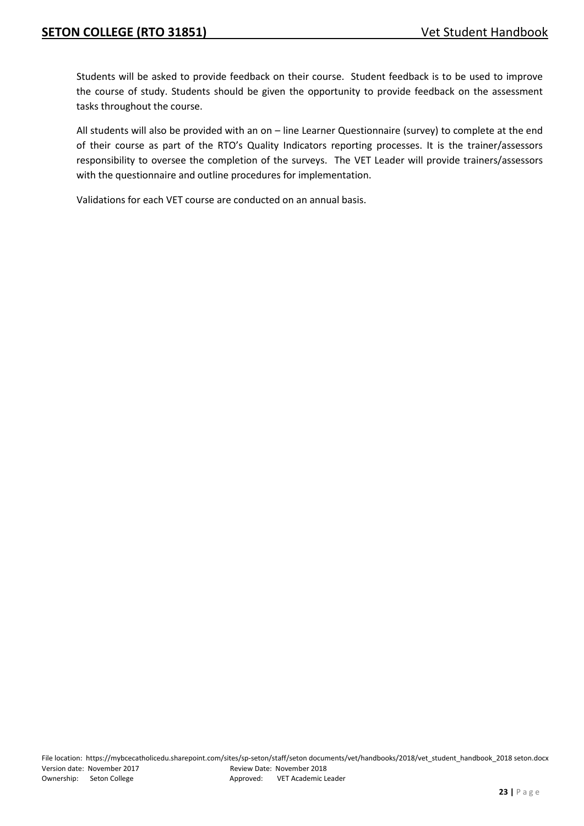Students will be asked to provide feedback on their course. Student feedback is to be used to improve the course of study. Students should be given the opportunity to provide feedback on the assessment tasks throughout the course.

All students will also be provided with an on – line Learner Questionnaire (survey) to complete at the end of their course as part of the RTO's Quality Indicators reporting processes. It is the trainer/assessors responsibility to oversee the completion of the surveys. The VET Leader will provide trainers/assessors with the questionnaire and outline procedures for implementation.

Validations for each VET course are conducted on an annual basis.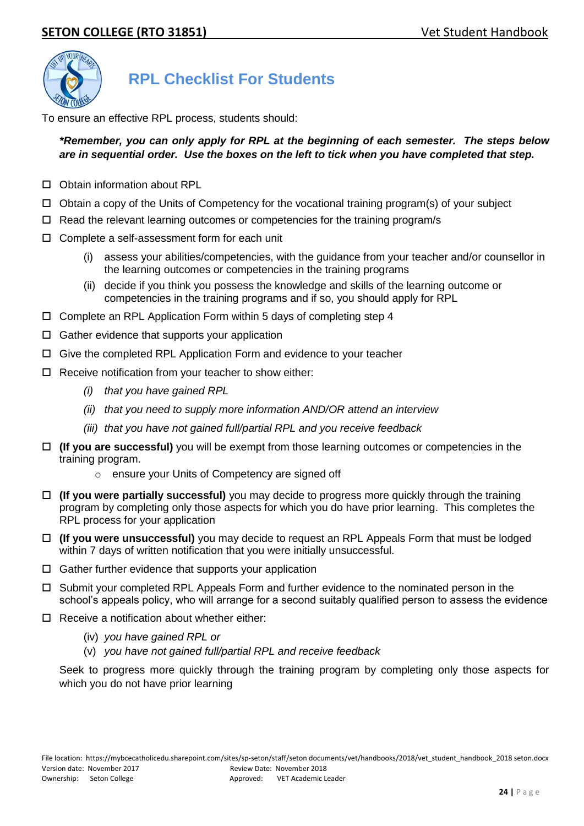

# **RPL Checklist For Students**

To ensure an effective RPL process, students should:

#### *\*Remember, you can only apply for RPL at the beginning of each semester. The steps below are in sequential order. Use the boxes on the left to tick when you have completed that step.*

- □ Obtain information about RPL
- $\Box$  Obtain a copy of the Units of Competency for the vocational training program(s) of your subject
- $\Box$  Read the relevant learning outcomes or competencies for the training program/s
- □ Complete a self-assessment form for each unit
	- (i) assess your abilities/competencies, with the guidance from your teacher and/or counsellor in the learning outcomes or competencies in the training programs
	- (ii) decide if you think you possess the knowledge and skills of the learning outcome or competencies in the training programs and if so, you should apply for RPL
- $\Box$  Complete an RPL Application Form within 5 days of completing step 4
- $\Box$  Gather evidence that supports your application
- Give the completed RPL Application Form and evidence to your teacher
- $\Box$  Receive notification from your teacher to show either:
	- *(i) that you have gained RPL*
	- *(ii) that you need to supply more information AND/OR attend an interview*
	- *(iii) that you have not gained full/partial RPL and you receive feedback*
- **(If you are successful)** you will be exempt from those learning outcomes or competencies in the training program.
	- o ensure your Units of Competency are signed off
- **(If you were partially successful)** you may decide to progress more quickly through the training program by completing only those aspects for which you do have prior learning. This completes the RPL process for your application
- **(If you were unsuccessful)** you may decide to request an RPL Appeals Form that must be lodged within 7 days of written notification that you were initially unsuccessful.
- $\Box$  Gather further evidence that supports your application
- $\Box$  Submit your completed RPL Appeals Form and further evidence to the nominated person in the school's appeals policy, who will arrange for a second suitably qualified person to assess the evidence
- $\Pi$  Receive a notification about whether either:
	- (iv) *you have gained RPL or*
	- (v) *you have not gained full/partial RPL and receive feedback*

Seek to progress more quickly through the training program by completing only those aspects for which you do not have prior learning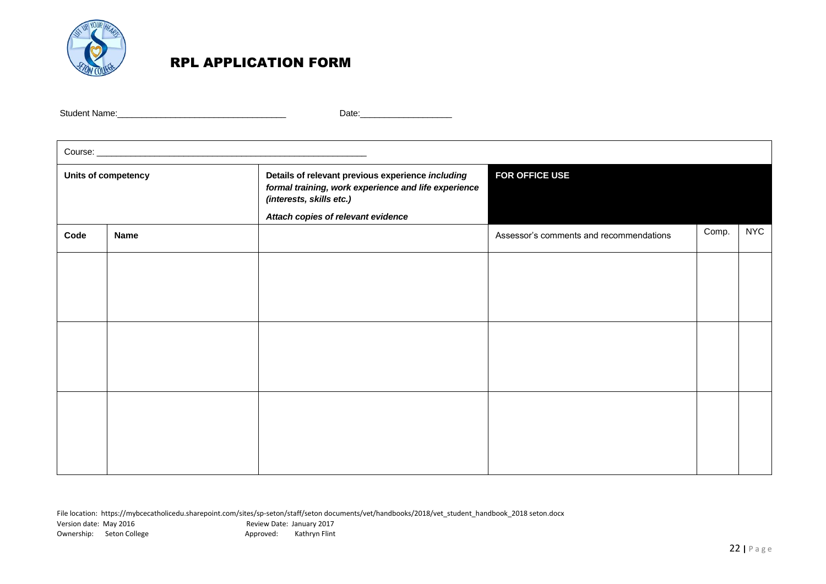

## RPL APPLICATION FORM

Student Name:\_\_\_\_\_\_\_\_\_\_\_\_\_\_\_\_\_\_\_\_\_\_\_\_\_\_\_\_\_\_\_\_\_\_\_ Date:\_\_\_\_\_\_\_\_\_\_\_\_\_\_\_\_\_\_\_

| Units of competency |             | Details of relevant previous experience including<br>formal training, work experience and life experience<br>(interests, skills etc.) | FOR OFFICE USE                          |       |            |
|---------------------|-------------|---------------------------------------------------------------------------------------------------------------------------------------|-----------------------------------------|-------|------------|
| Code                | <b>Name</b> | Attach copies of relevant evidence                                                                                                    | Assessor's comments and recommendations | Comp. | <b>NYC</b> |
|                     |             |                                                                                                                                       |                                         |       |            |
|                     |             |                                                                                                                                       |                                         |       |            |
|                     |             |                                                                                                                                       |                                         |       |            |
|                     |             |                                                                                                                                       |                                         |       |            |
|                     |             |                                                                                                                                       |                                         |       |            |
|                     |             |                                                                                                                                       |                                         |       |            |
|                     |             |                                                                                                                                       |                                         |       |            |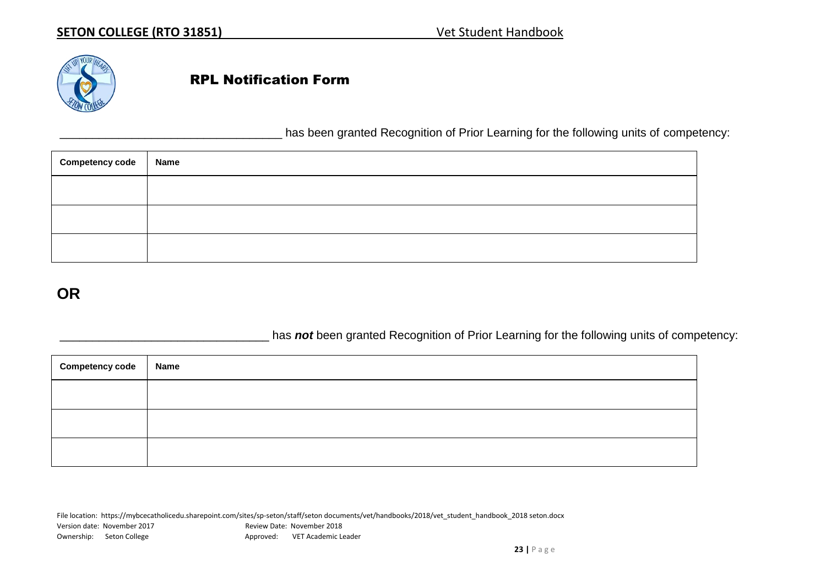

## RPL Notification Form

has been granted Recognition of Prior Learning for the following units of competency:

| <b>Competency code</b> | <b>Name</b> |
|------------------------|-------------|
|                        |             |
|                        |             |
|                        |             |

# **OR**

has **not** been granted Recognition of Prior Learning for the following units of competency:

| <b>Competency code</b> | Name |
|------------------------|------|
|                        |      |
|                        |      |
|                        |      |

File location: https://mybcecatholicedu.sharepoint.com/sites/sp-seton/staff/seton documents/vet/handbooks/2018/vet\_student\_handbook\_2018 seton.docx Version date: November 2017 Market and Review Date: November 2018 Ownership: Seton College Approved: VET Academic Leader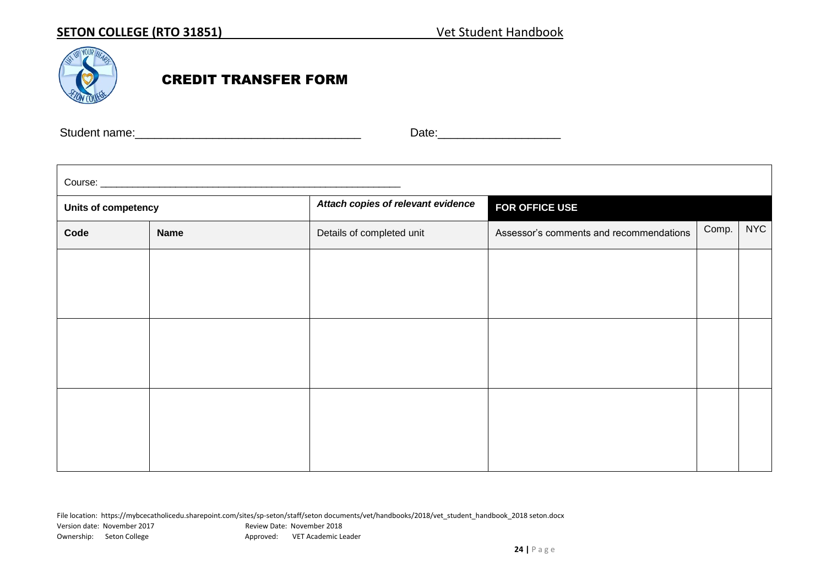

 $\blacksquare$ 

# CREDIT TRANSFER FORM

Student name:\_\_\_\_\_\_\_\_\_\_\_\_\_\_\_\_\_\_\_\_\_\_\_\_\_\_\_\_\_\_\_\_\_\_\_ Date:\_\_\_\_\_\_\_\_\_\_\_\_\_\_\_\_\_\_\_

| Course: experience and a series of the series of the series of the series of the series of the series of the series of the series of the series of the series of the series of the series of the series of the series of the s |                                                                                     |                                    |                |            |  |
|--------------------------------------------------------------------------------------------------------------------------------------------------------------------------------------------------------------------------------|-------------------------------------------------------------------------------------|------------------------------------|----------------|------------|--|
| Units of competency                                                                                                                                                                                                            |                                                                                     | Attach copies of relevant evidence | FOR OFFICE USE |            |  |
| Code                                                                                                                                                                                                                           | Assessor's comments and recommendations<br>Details of completed unit<br><b>Name</b> |                                    | Comp.          | <b>NYC</b> |  |
|                                                                                                                                                                                                                                |                                                                                     |                                    |                |            |  |
|                                                                                                                                                                                                                                |                                                                                     |                                    |                |            |  |
|                                                                                                                                                                                                                                |                                                                                     |                                    |                |            |  |
|                                                                                                                                                                                                                                |                                                                                     |                                    |                |            |  |
|                                                                                                                                                                                                                                |                                                                                     |                                    |                |            |  |
|                                                                                                                                                                                                                                |                                                                                     |                                    |                |            |  |
|                                                                                                                                                                                                                                |                                                                                     |                                    |                |            |  |